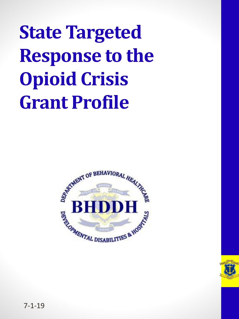**State Targeted Response to the Opioid Crisis Grant Profile**



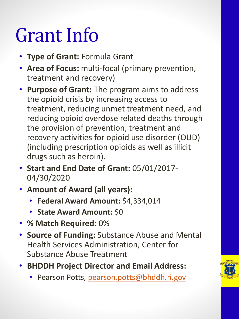### Grant Info

- **Type of Grant:** Formula Grant
- **Area of Focus:** multi-focal (primary prevention, treatment and recovery)
- **Purpose of Grant:** The program aims to address the opioid crisis by increasing access to treatment, reducing unmet treatment need, and reducing opioid overdose related deaths through the provision of prevention, treatment and recovery activities for opioid use disorder (OUD) (including prescription opioids as well as illicit drugs such as heroin).
- **Start and End Date of Grant:** 05/01/2017- 04/30/2020
- **Amount of Award (all years):**
	- **Federal Award Amount:** \$4,334,014
	- **State Award Amount:** \$0
- **% Match Required:** 0%
- **Source of Funding:** Substance Abuse and Mental Health Services Administration, Center for Substance Abuse Treatment
- **BHDDH Project Director and Email Address:** 
	- Pearson Potts, [pearson.potts@bhddh.ri.gov](mailto:pearson.potts@bhddh.ri.gov)

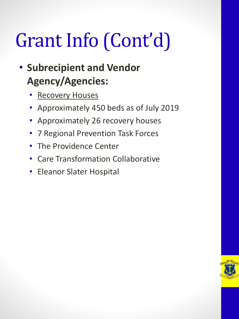# Grant Info (Cont'd)

#### • **Subrecipient and Vendor Agency/Agencies:**

- Recovery Houses
- Approximately 450 beds as of July 2019
- Approximately 26 recovery houses
- 7 Regional Prevention Task Forces
- The Providence Center
- Care Transformation Collaborative
- Eleanor Slater Hospital

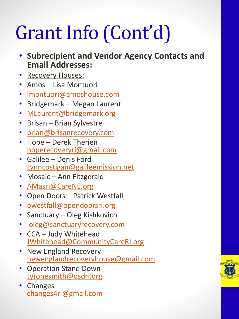# Grant Info (Cont'd)

- **Subrecipient and Vendor Agency Contacts and Email Addresses:**
- Recovery Houses:
- Amos Lisa Montuori
- [lmontuori@amoshouse.com](mailto:lmontuori@amoshouse.com)
- Bridgemark Megan Laurent
- [MLaurent@bridgemark.org](mailto:MLaurent@bridgemark.org)
- Brisan Brian Sylvestre
- [brian@brisanrecovery.com](mailto:brian@brisanrecovery.com)
- Hope Derek Therien [hoperecoveryri@gmail.com](mailto:hoperecoveryri@gmail.com)
- Galilee Denis Ford [Lynncostigan@galileemission.net](mailto:Lynncostigan@galileemission.net)
- Mosaic Ann Fitzgerald
- [AMasri@CareNE.org](mailto:AMasri@CareNE.org)
- Open Doors Patrick Westfall
- [pwestfall@opendoorsri.org](mailto:pwestfall@opendoorsri.org)
- Sanctuary Oleg Kishkovich
- [oleg@sanctuaryrecovery.com](mailto:oleg@sanctuaryrecovery.com)
- CCA Judy Whitehead [JWhitehead@CommunityCareRI.org](mailto:JWhitehead@CommunityCareRI.org)
- New England Recovery [newenglandrecoveryhouse@gmail.com](mailto:newenglandrecoveryhouse@gmail.com)
- Operation Stand Down [tyronesmith@osdri.org](mailto:tyronesmith@osdri.org)
- Changes [changes4ri@gmail.com](mailto:changes4ri@gmail.com)

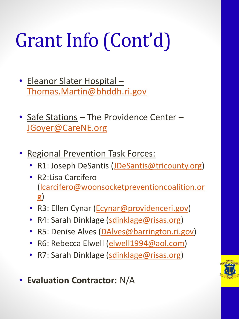# Grant Info (Cont'd)

- Eleanor Slater Hospital [Thomas.Martin@bhddh.ri.gov](mailto:Thomas.Martin@bhddh.ri.gov)
- Safe Stations The Providence Center -[JGoyer@CareNE.org](mailto:JGoyer@CareNE.org)
- **Regional Prevention Task Forces:** 
	- R1: Joseph DeSantis ([JDeSantis@tricounty.org](mailto:JDeSantis@tricounty.org))
	- R2:Lisa Carcifero [\(lcarcifero@woonsocketpreventioncoalition.or](mailto:lcarcifero@woonsocketpreventioncoalition.org) g)
	- R3: Ellen Cynar ([Ecynar@providenceri.gov\)](mailto:Ecynar@providenceri.gov)
	- R4: Sarah Dinklage [\(sdinklage@risas.org\)](mailto:sdinklage@risas.org)
	- R5: Denise Alves ([DAlves@barrington.ri.gov](mailto:DAlves@barrington.ri.gov))
	- R6: Rebecca Elwell ([elwell1994@aol.com\)](mailto:elwell1994@aol.com)
	- R7: Sarah Dinklage [\(sdinklage@risas.org\)](mailto:sdinklage@risas.org)

• **Evaluation Contractor:** N/A

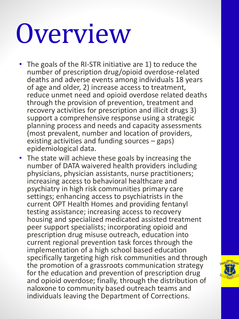# Overview

- The goals of the RI-STR initiative are 1) to reduce the number of prescription drug/opioid overdose-related deaths and adverse events among individuals 18 years of age and older, 2) increase access to treatment, reduce unmet need and opioid overdose related deaths through the provision of prevention, treatment and recovery activities for prescription and illicit drugs 3) support a comprehensive response using a strategic planning process and needs and capacity assessments (most prevalent, number and location of providers, existing activities and funding sources – gaps) epidemiological data.
- The state will achieve these goals by increasing the number of DATA waivered health providers including physicians, physician assistants, nurse practitioners; increasing access to behavioral healthcare and psychiatry in high risk communities primary care settings; enhancing access to psychiatrists in the current OPT Health Homes and providing fentanyl testing assistance; increasing access to recovery housing and specialized medicated assisted treatment peer support specialists; incorporating opioid and prescription drug misuse outreach, education into current regional prevention task forces through the implementation of a high school based education specifically targeting high risk communities and through the promotion of a grassroots communication strategy for the education and prevention of prescription drug and opioid overdose; finally, through the distribution of naloxone to community based outreach teams and individuals leaving the Department of Corrections.

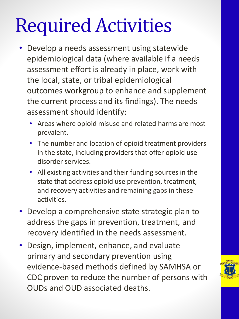### Required Activities

- Develop a needs assessment using statewide epidemiological data (where available if a needs assessment effort is already in place, work with the local, state, or tribal epidemiological outcomes workgroup to enhance and supplement the current process and its findings). The needs assessment should identify:
	- Areas where opioid misuse and related harms are most prevalent.
	- The number and location of opioid treatment providers in the state, including providers that offer opioid use disorder services.
	- All existing activities and their funding sources in the state that address opioid use prevention, treatment, and recovery activities and remaining gaps in these activities.
- Develop a comprehensive state strategic plan to address the gaps in prevention, treatment, and recovery identified in the needs assessment.
- Design, implement, enhance, and evaluate primary and secondary prevention using evidence-based methods defined by SAMHSA or CDC proven to reduce the number of persons with OUDs and OUD associated deaths.

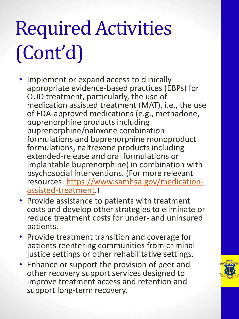# Required Activities (Cont'd)

- Implement or expand access to clinically appropriate evidence-based practices (EBPs) for OUD treatment, particularly, the use of medication assisted treatment (MAT), i.e., the use of FDA-approved medications (e.g., methadone, buprenorphine products including buprenorphine/naloxone combination formulations and buprenorphine monoproduct formulations, naltrexone products including extended-release and oral formulations or implantable buprenorphine) in combination with psychosocial interventions. (For more relevant [resources: https://www.samhsa.gov/medication](https://www.samhsa.gov/medication-assisted-treatment)assisted-treatment.)
- Provide assistance to patients with treatment costs and develop other strategies to eliminate or reduce treatment costs for under- and uninsured patients.
- Provide treatment transition and coverage for patients reentering communities from criminal justice settings or other rehabilitative settings.
- Enhance or support the provision of peer and other recovery support services designed to improve treatment access and retention and support long-term recovery.

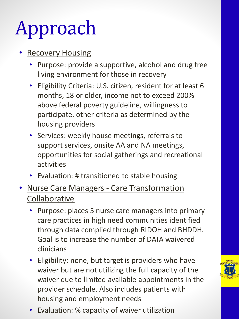# Approach

#### **Recovery Housing**

- Purpose: provide a supportive, alcohol and drug free living environment for those in recovery
- Eligibility Criteria: U.S. citizen, resident for at least 6 months, 18 or older, income not to exceed 200% above federal poverty guideline, willingness to participate, other criteria as determined by the housing providers
- Services: weekly house meetings, referrals to support services, onsite AA and NA meetings, opportunities for social gatherings and recreational activities
- Evaluation: # transitioned to stable housing
- Nurse Care Managers Care Transformation Collaborative
	- Purpose: places 5 nurse care managers into primary care practices in high need communities identified through data complied through RIDOH and BHDDH. Goal is to increase the number of DATA waivered clinicians
	- Eligibility: none, but target is providers who have waiver but are not utilizing the full capacity of the waiver due to limited available appointments in the provider schedule. Also includes patients with housing and employment needs